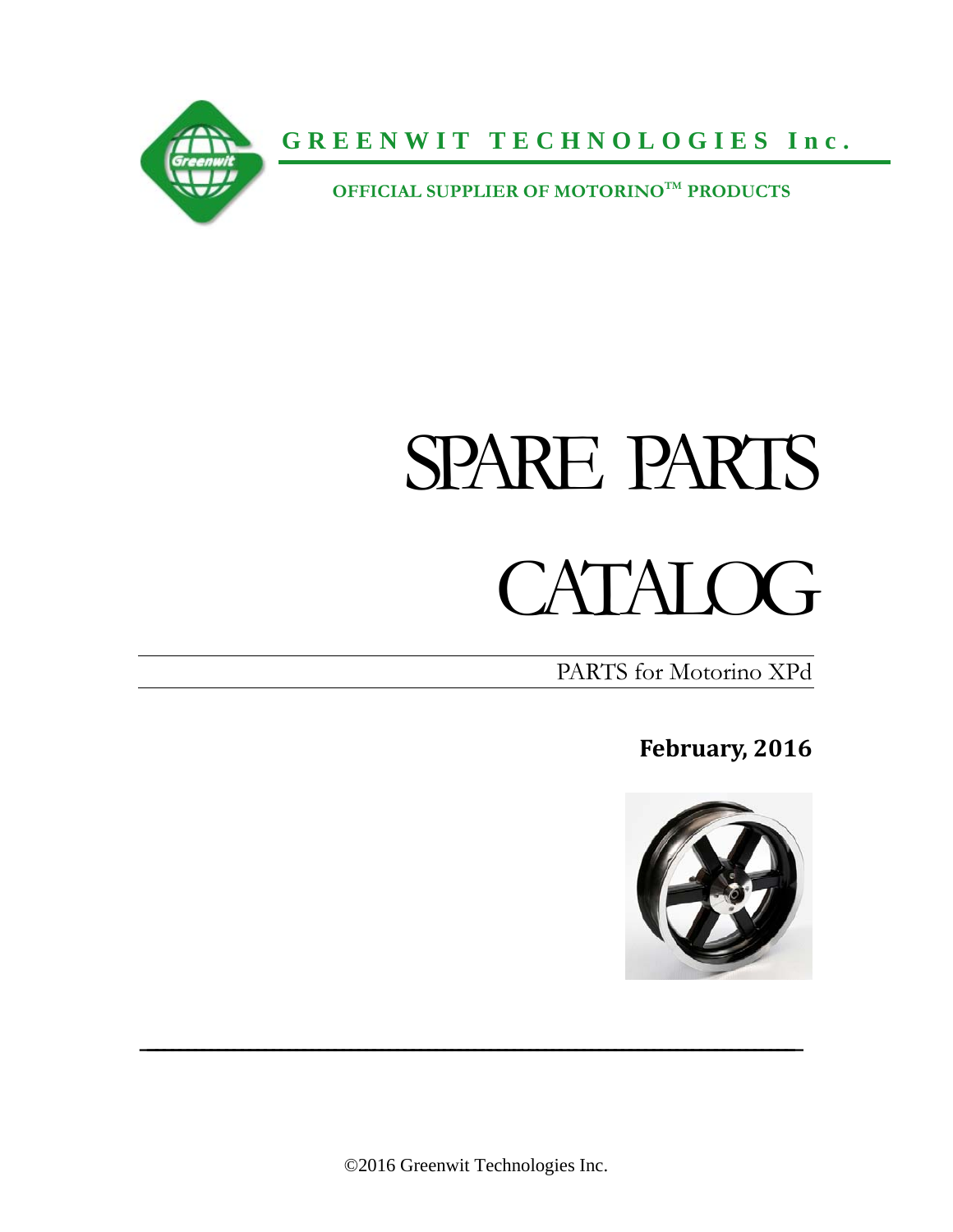

**GREENWIT TECHNOLOGIES Inc.**

 **OFFICIAL SUPPLIER OF MOTORINOTM PRODUCTS**

# SPARE PARTS

# CATALOG<sub></sub>

PARTS for Motorino XPd

**February, 2016**



©2016 Greenwit Technologies Inc.

 $\mathcal{L}_\text{max}$  and  $\mathcal{L}_\text{max}$  and  $\mathcal{L}_\text{max}$  and  $\mathcal{L}_\text{max}$  and  $\mathcal{L}_\text{max}$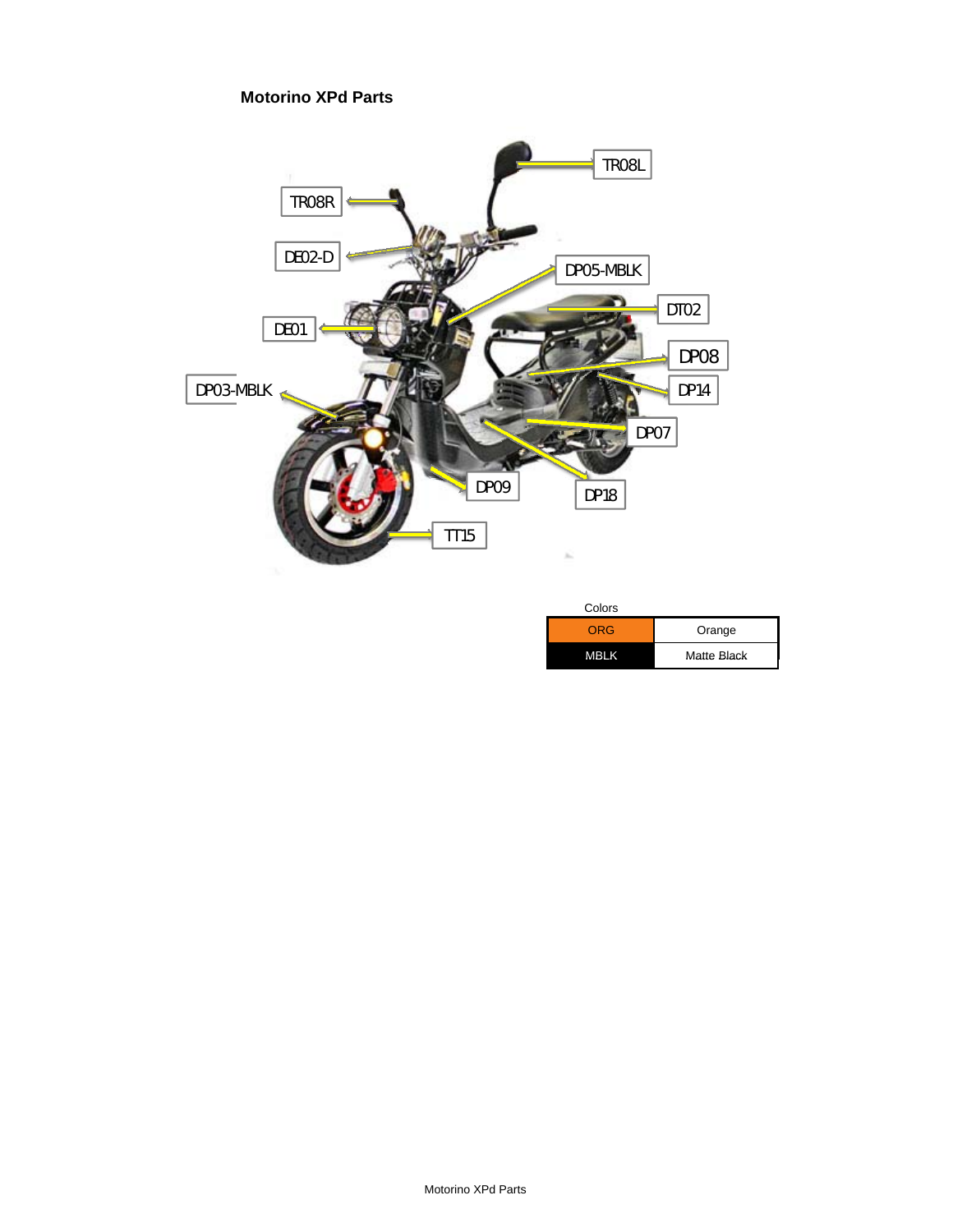**Motorino XPd Parts**



| COIOIS |             |
|--------|-------------|
| ORG    | Orange      |
| MBLK   | Matte Black |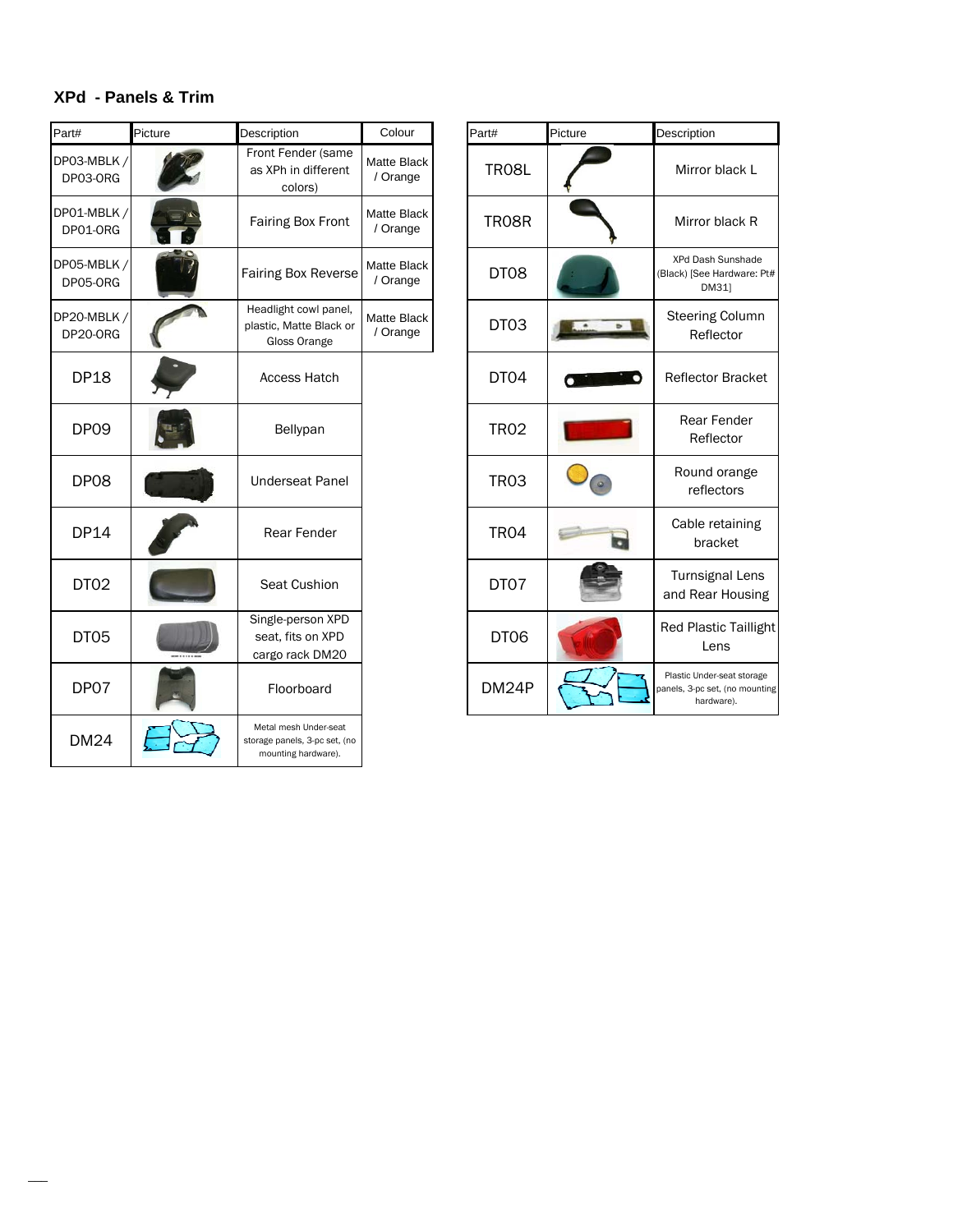# **XPd - Panels & Trim**

| Part#                   | Picture | Description                                                                   | Colour                         | Part#            | Picture | Description                                                              |
|-------------------------|---------|-------------------------------------------------------------------------------|--------------------------------|------------------|---------|--------------------------------------------------------------------------|
| DP03-MBLK/<br>DP03-ORG  |         | Front Fender (same<br>as XPh in different<br>colors)                          | Matte Black<br>/ Orange        | <b>TR08L</b>     |         | Mirror black L                                                           |
| DP01-MBLK/<br>DP01-ORG  |         | Fairing Box Front                                                             | <b>Matte Black</b><br>/ Orange | <b>TR08R</b>     |         | Mirror black R                                                           |
| DP05-MBLK /<br>DP05-ORG |         | <b>Fairing Box Reverse</b>                                                    | Matte Black<br>/ Orange        | DT08             |         | XPd Dash Sunshade<br>(Black) [See Hardware: P<br>DM31]                   |
| DP20-MBLK/<br>DP20-ORG  |         | Headlight cowl panel,<br>plastic, Matte Black or<br>Gloss Orange              | Matte Black<br>/ Orange        | DT03             |         | <b>Steering Column</b><br>Reflector                                      |
| <b>DP18</b>             |         | <b>Access Hatch</b>                                                           |                                | DT04             |         | <b>Reflector Bracket</b>                                                 |
| DP09                    |         | Bellypan                                                                      |                                | <b>TR02</b>      |         | <b>Rear Fender</b><br>Reflector                                          |
| DP08                    |         | <b>Underseat Panel</b>                                                        |                                | <b>TR03</b>      |         | Round orange<br>reflectors                                               |
| <b>DP14</b>             |         | Rear Fender                                                                   |                                | <b>TR04</b>      |         | Cable retaining<br>bracket                                               |
| DT <sub>02</sub>        |         | Seat Cushion                                                                  |                                | DT07             |         | <b>Turnsignal Lens</b><br>and Rear Housing                               |
| DT05                    |         | Single-person XPD<br>seat, fits on XPD<br>cargo rack DM20                     |                                | DT <sub>06</sub> |         | <b>Red Plastic Tailligh</b><br>Lens                                      |
| DP07                    |         | Floorboard                                                                    |                                | DM24P            |         | Plastic Under-seat storage<br>panels, 3-pc set, (no mounti<br>hardware). |
| <b>DM24</b>             |         | Metal mesh Under-seat<br>storage panels, 3-pc set, (no<br>mounting hardware). |                                |                  |         |                                                                          |

| Colour                  | Part#            | Picture | Description                                                                |
|-------------------------|------------------|---------|----------------------------------------------------------------------------|
| latte Black<br>/ Orange | <b>TR08L</b>     |         | Mirror black L                                                             |
| latte Black<br>/ Orange | <b>TR08R</b>     |         | Mirror black R                                                             |
| latte Black<br>/ Orange | DT08             |         | <b>XPd Dash Sunshade</b><br>(Black) [See Hardware: Pt#<br>DM31]            |
| latte Black<br>/ Orange | DT03             |         | <b>Steering Column</b><br>Reflector                                        |
|                         | DT04             |         | <b>Reflector Bracket</b>                                                   |
|                         | <b>TR02</b>      |         | <b>Rear Fender</b><br>Reflector                                            |
|                         | <b>TR03</b>      |         | Round orange<br>reflectors                                                 |
|                         | TR <sub>04</sub> |         | Cable retaining<br>bracket                                                 |
|                         | DT07             |         | <b>Turnsignal Lens</b><br>and Rear Housing                                 |
|                         | DT06             |         | <b>Red Plastic Taillight</b><br>Lens                                       |
|                         | DM24P            |         | Plastic Under-seat storage<br>panels, 3-pc set, (no mounting<br>hardware). |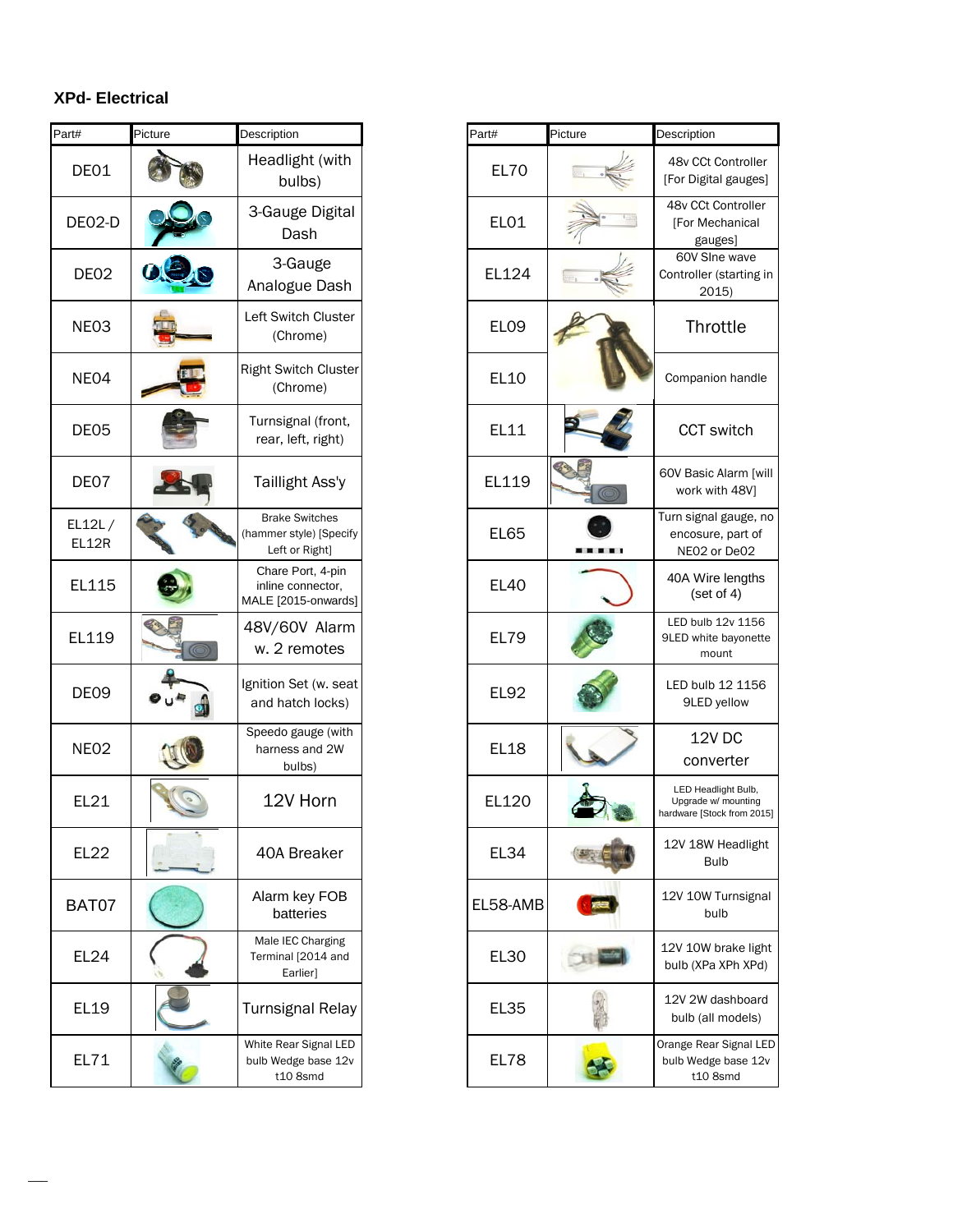# **XPd- Electrical**

| Part#            | Picture | Description                                                        | Part#            | Picture | Description                                   |
|------------------|---------|--------------------------------------------------------------------|------------------|---------|-----------------------------------------------|
| DE01             |         | Headlight (with<br>bulbs)                                          | <b>EL70</b>      |         | 48v CCt<br>[For Digita                        |
| DE02-D           |         | 3-Gauge Digital<br>Dash                                            | EL01             |         | 48v CCt<br>[For Me<br>gau                     |
| DE <sub>02</sub> |         | 3-Gauge<br>Analogue Dash                                           | EL124            |         | 60V SIr<br>Controller<br>20                   |
| NE03             |         | Left Switch Cluster<br>(Chrome)                                    | EL <sub>09</sub> |         | <b>Thro</b>                                   |
| NE04             |         | <b>Right Switch Cluster</b><br>(Chrome)                            | EL10             |         | Compani                                       |
| DE05             |         | Turnsignal (front,<br>rear, left, right)                           | EL11             |         | CCT <sub>s</sub>                              |
| DE07             |         | Taillight Ass'y                                                    | EL119            |         | 60V Basic<br>work w                           |
| EL12L/<br>EL12R  |         | <b>Brake Switches</b><br>(hammer style) [Specify<br>Left or Right] | <b>EL65</b>      |         | Turn signa<br>encosur<br>NEO <sub>2</sub> c   |
| EL115            |         | Chare Port, 4-pin<br>inline connector,<br>MALE [2015-onwards]      | <b>EL40</b>      |         | 40A Wire<br>(set                              |
| EL119            |         | 48V/60V Alarm<br>w. 2 remotes                                      | <b>EL79</b>      |         | LED bulb<br>9LED white<br>mo                  |
| DE09             |         | Ignition Set (w. seat<br>and hatch locks)                          | <b>EL92</b>      |         | LED bulb<br>9LED                              |
| NEO <sub>2</sub> |         | Speedo gauge (with<br>harness and 2W<br>bulbs)                     | <b>EL18</b>      |         | 12<br>conv                                    |
| EL21             |         | 12V Horn                                                           | EL120            |         | <b>LED Head</b><br>Upgrade w<br>hardware [Sto |
| <b>EL22</b>      |         | 40A Breaker                                                        | <b>EL34</b>      |         | 12V 18W<br>Βι                                 |
| BAT07            |         | Alarm key FOB<br>batteries                                         | EL58-AMB         |         | 12V 10W<br>bι                                 |
| EL24             |         | Male IEC Charging<br>Terminal [2014 and<br>Earlier]                | EL30             |         | 12V 10W<br>bulb (XPa                          |
| EL19             |         | <b>Turnsignal Relay</b>                                            | <b>EL35</b>      |         | 12V 2W c<br>bulb (all                         |
| EL71             |         | White Rear Signal LED<br>bulb Wedge base 12v<br>t10 8smd           | EL78             |         | Orange Rea<br>bulb Wedg<br>t108               |

| t#               | Picture | Description                                                        | Part#            | Picture | Description                                                              |
|------------------|---------|--------------------------------------------------------------------|------------------|---------|--------------------------------------------------------------------------|
| DE01             |         | Headlight (with<br>bulbs)                                          | <b>EL70</b>      |         | 48v CCt Controller<br>[For Digital gauges]                               |
| EO2-D            |         | 3-Gauge Digital<br>Dash                                            | <b>EL01</b>      |         | 48v CCt Controller<br>[For Mechanical<br>gauges]                         |
| DE <sub>02</sub> | 0.9.8   | 3-Gauge<br>Analogue Dash                                           | EL124            |         | 60V Slne wave<br>Controller (starting in<br>2015)                        |
| NE03             |         | Left Switch Cluster<br>(Chrome)                                    | EL <sub>09</sub> |         | Throttle                                                                 |
| NEO4             |         | <b>Right Switch Cluster</b><br>(Chrome)                            | EL10             |         | Companion handle                                                         |
| DE05             |         | Turnsignal (front,<br>rear, left, right)                           | EL11             |         | CCT switch                                                               |
| DE07             |         | Taillight Ass'y                                                    | EL119            |         | 60V Basic Alarm [will<br>work with 48V]                                  |
| 112L/<br>EL12R   |         | <b>Brake Switches</b><br>(hammer style) [Specify<br>Left or Right] | <b>EL65</b>      |         | Turn signal gauge, no<br>encosure, part of<br>NE02 or De02               |
| EL115            |         | Chare Port, 4-pin<br>inline connector,<br>MALE [2015-onwards]      | <b>EL40</b>      |         | 40A Wire lengths<br>(set of 4)                                           |
| EL119            |         | 48V/60V Alarm<br>w. 2 remotes                                      | <b>EL79</b>      |         | LED bulb 12v 1156<br>9LED white bayonette<br>mount                       |
| <b>DE09</b>      |         | Ignition Set (w. seat<br>and hatch locks)                          | <b>EL92</b>      |         | LED bulb 12 1156<br>9LED yellow                                          |
| <b>NE02</b>      |         | Speedo gauge (with<br>harness and 2W<br>bulbs)                     | <b>EL18</b>      |         | 12V DC<br>converter                                                      |
| <b>EL21</b>      |         | 12V Horn                                                           | EL120            |         | LED Headlight Bulb,<br>Upgrade w/ mounting<br>hardware [Stock from 2015] |
| <b>EL22</b>      |         | 40A Breaker                                                        | <b>EL34</b>      |         | 12V 18W Headlight<br><b>Bulb</b>                                         |
| <b>BAT07</b>     |         | Alarm key FOB<br>batteries                                         | EL58-AMB         |         | 12V 10W Turnsignal<br>bulb                                               |
| <b>EL24</b>      |         | Male IEC Charging<br>Terminal [2014 and<br>Earlier]                | <b>EL30</b>      |         | 12V 10W brake light<br>bulb (XPa XPh XPd)                                |
| <b>EL19</b>      |         | <b>Turnsignal Relay</b>                                            | <b>EL35</b>      |         | 12V 2W dashboard<br>bulb (all models)                                    |
| EL71             |         | White Rear Signal LED<br>bulb Wedge base 12v<br>t10 8smd           | <b>EL78</b>      |         | Orange Rear Signal LED<br>bulb Wedge base 12v<br>t10 8smd                |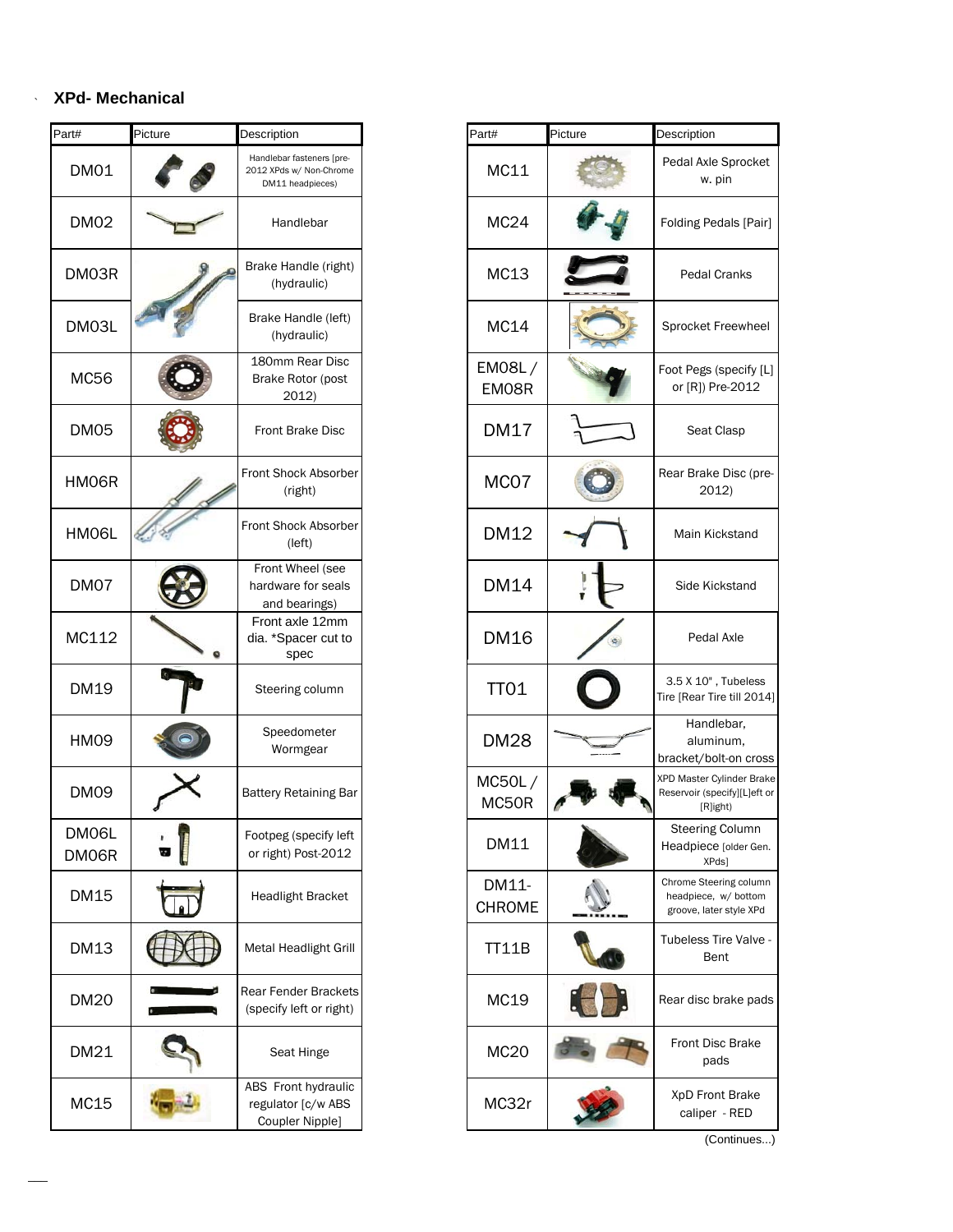### ` **XPd- Mechanical**

| Part#          | Picture | Description                                                              | Part#            | Picture | Description                                                   |
|----------------|---------|--------------------------------------------------------------------------|------------------|---------|---------------------------------------------------------------|
| <b>DM01</b>    |         | Handlebar fasteners [pre-<br>2012 XPds w/ Non-Chrome<br>DM11 headpieces) | MC11             |         | Pedal Axle Sprc<br>w. pin                                     |
| <b>DM02</b>    |         | Handlebar                                                                | MC <sub>24</sub> |         | Folding Pedals                                                |
| DM03R          |         | Brake Handle (right)<br>(hydraulic)                                      | MC13             |         | Pedal Crank                                                   |
| DM03L          |         | Brake Handle (left)<br>(hydraulic)                                       | MC14             |         | Sprocket Freew                                                |
| <b>MC56</b>    |         | 180mm Rear Disc<br>Brake Rotor (post<br>2012)                            | EMO8L/<br>EM08R  |         | Foot Pegs (spec<br>or [R]) Pre-20                             |
| DM05           |         | Front Brake Disc                                                         | <b>DM17</b>      |         | Seat Clasp                                                    |
| HM06R          |         | <b>Front Shock Absorber</b><br>(right)                                   | MCO7             |         | Rear Brake Disc<br>2012)                                      |
| HM06L          |         | Front Shock Absorber<br>(left)                                           | <b>DM12</b>      |         | Main Kicksta                                                  |
| DM07           |         | Front Wheel (see<br>hardware for seals<br>and bearings)                  | <b>DM14</b>      |         | Side Kickstar                                                 |
| MC112          |         | Front axle 12mm<br>dia. *Spacer cut to<br>spec                           | <b>DM16</b>      |         | Pedal Axle                                                    |
| DM19           |         | Steering column                                                          | <b>TT01</b>      |         | 3.5 X 10", Tube<br>Tire [Rear Tire till                       |
| <b>HM09</b>    |         | Speedometer<br>Wormgear                                                  | <b>DM28</b>      |         | Handlebar,<br>aluminum,<br>bracket/bolt-on                    |
| <b>DM09</b>    |         | <b>Battery Retaining Bar</b>                                             | MC50L/<br>MC50R  |         | XPD Master Cylinder<br>Reservoir (specify][I<br>[R]ight)      |
| DM06L<br>DM06R |         | Footpeg (specify left<br>or right) Post-2012                             | DM11             |         | Steering Colu<br>Headpiece [olde<br>XPds]                     |
| <b>DM15</b>    |         | <b>Headlight Bracket</b>                                                 | DM11-<br>CHROME  |         | Chrome Steering co<br>headpiece, w/ bo<br>groove, later style |
| <b>DM13</b>    |         | Metal Headlight Grill                                                    | <b>TT11B</b>     |         | Tubeless Tire Va<br>Bent                                      |
| <b>DM20</b>    |         | Rear Fender Brackets<br>(specify left or right)                          | MC19             |         | Rear disc brake                                               |
| DM21           |         | Seat Hinge                                                               | <b>MC20</b>      |         | Front Disc Bra<br>pads                                        |
| MC15           |         | ABS Front hydraulic<br>regulator [c/w ABS<br>Coupler Nipple]             | MC32r            |         | XpD Front Bra<br>caliper - RE                                 |

 $\overline{\phantom{a}}$ 

| t#            | Picture | Description                                                              | Part#                  | Picture | Description                                                               |
|---------------|---------|--------------------------------------------------------------------------|------------------------|---------|---------------------------------------------------------------------------|
| DM01          |         | Handlebar fasteners [pre-<br>2012 XPds w/ Non-Chrome<br>DM11 headpieces) | MC11                   |         | Pedal Axle Sprocket<br>w. pin                                             |
| <b>DM02</b>   |         | Handlebar                                                                | MC <sub>24</sub>       |         | Folding Pedals [Pair]                                                     |
| DM03R         |         | Brake Handle (right)<br>(hydraulic)                                      | MC13                   |         | Pedal Cranks                                                              |
| DM03L         |         | Brake Handle (left)<br>(hydraulic)                                       | MC14                   |         | Sprocket Freewheel                                                        |
| MC56          |         | 180mm Rear Disc<br>Brake Rotor (post<br>2012)                            | EM08L/<br>EM08R        |         | Foot Pegs (specify [L]<br>or [R]) Pre-2012                                |
| DM05          |         | Front Brake Disc                                                         | <b>DM17</b>            |         | Seat Clasp                                                                |
| HM06R         |         | Front Shock Absorber<br>(right)                                          | MCO7                   |         | Rear Brake Disc (pre-<br>2012)                                            |
| HM06L         |         | Front Shock Absorber<br>(left)                                           | DM12                   |         | Main Kickstand                                                            |
| DM07          |         | Front Wheel (see<br>hardware for seals<br>and bearings)                  | <b>DM14</b>            |         | Side Kickstand                                                            |
| MC112         |         | Front axle 12mm<br>dia. *Spacer cut to<br>spec                           | <b>DM16</b>            |         | Pedal Axle                                                                |
| DM19          |         | Steering column                                                          | <b>TT01</b>            |         | 3.5 X 10", Tubeless<br>Tire [Rear Tire till 2014]                         |
| HM09          |         | Speedometer<br>Wormgear                                                  | <b>DM28</b>            |         | Handlebar,<br>aluminum,<br>bracket/bolt-on cross                          |
| <b>DM09</b>   |         | <b>Battery Retaining Bar</b>                                             | MC50L/<br>MC50R        |         | XPD Master Cylinder Brake<br>Reservoir (specify][L]eft or<br>[R]ight)     |
| DMO6L<br>M06R |         | Footpeg (specify left<br>or right) Post-2012                             | DM11                   |         | <b>Steering Column</b><br>Headpiece [older Gen.<br>XPds]                  |
| DM15          |         | <b>Headlight Bracket</b>                                                 | DM11-<br><b>CHROME</b> |         | Chrome Steering column<br>headpiece, w/ bottom<br>groove, later style XPd |
| DM13          |         | Metal Headlight Grill                                                    | <b>TT11B</b>           |         | Tubeless Tire Valve -<br>Bent                                             |
| DM20          |         | <b>Rear Fender Brackets</b><br>(specify left or right)                   | MC19                   |         | Rear disc brake pads                                                      |
| DM21          |         | Seat Hinge                                                               | <b>MC20</b>            |         | Front Disc Brake<br>pads                                                  |
| MC15          |         | ABS Front hydraulic<br>regulator [c/w ABS<br>Coupler Nipple]             | MC32r                  |         | XpD Front Brake<br>caliper - RED                                          |

(Continues...)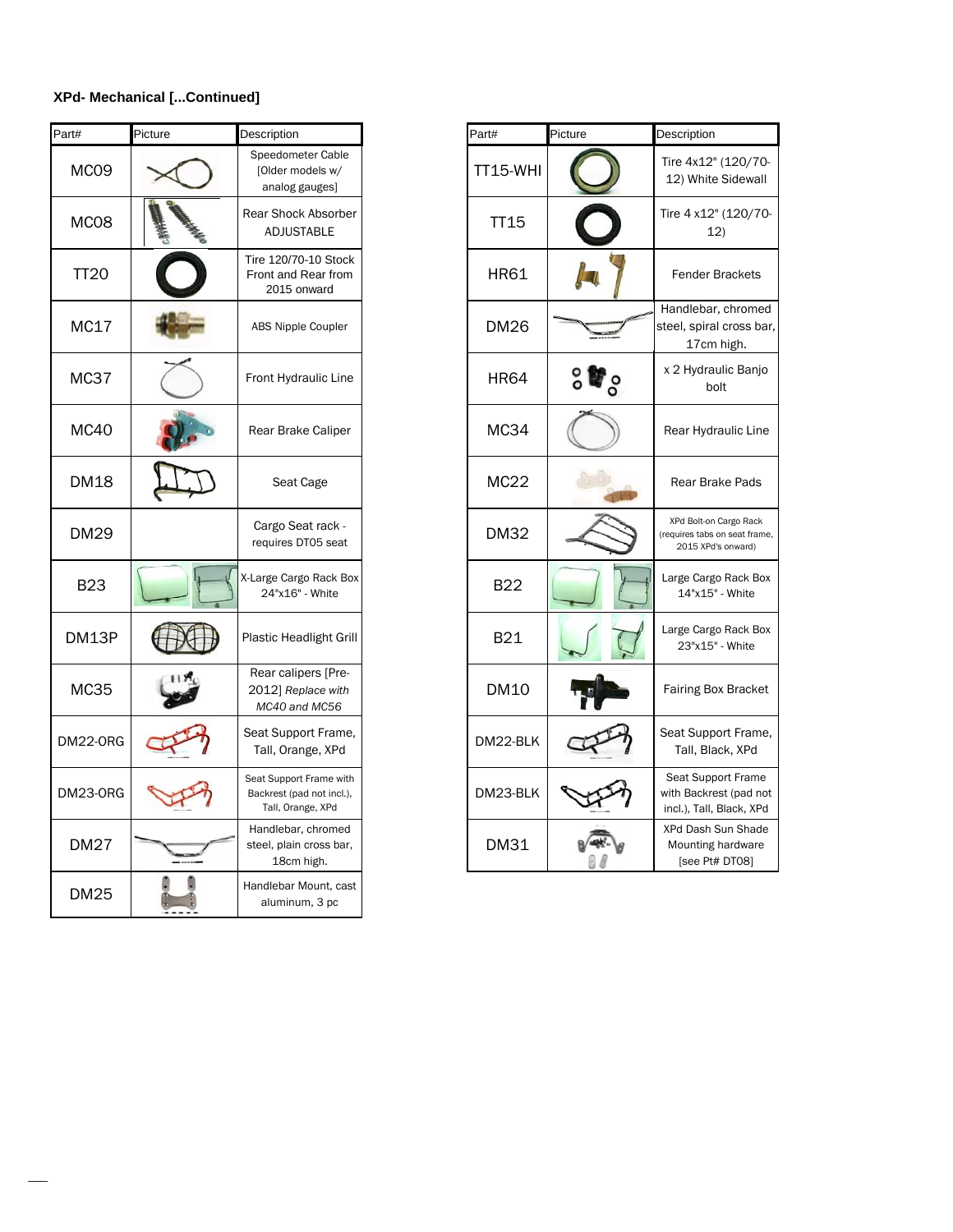### **XPd- Mechanical [...Continued]**

| Part#            | Picture | Description                                                               | Part#       | Picture | Description                               |
|------------------|---------|---------------------------------------------------------------------------|-------------|---------|-------------------------------------------|
| MCO <sub>9</sub> |         | Speedometer Cable<br>[Older models w/<br>analog gauges]                   | TT15-WHI    |         | Tire 4x12'<br>12) White                   |
| MC08             |         | Rear Shock Absorber<br>ADJUSTABLE                                         | <b>TT15</b> |         | <b>Tire 4 x12</b><br>1                    |
| <b>TT20</b>      |         | Tire 120/70-10 Stock<br>Front and Rear from<br>2015 onward                | <b>HR61</b> |         | Fender I                                  |
| MC17             |         | <b>ABS Nipple Coupler</b>                                                 | <b>DM26</b> |         | Handlebar<br>steel, spira<br>17cm         |
| MC37             |         | Front Hydraulic Line                                                      | HR64        | ဳိဝိ    | x 2 Hydra<br>b                            |
| <b>MC40</b>      |         | Rear Brake Caliper                                                        | <b>MC34</b> |         | Rear Hydi                                 |
| <b>DM18</b>      |         | Seat Cage                                                                 | <b>MC22</b> |         | <b>Rear Bra</b>                           |
| <b>DM29</b>      |         | Cargo Seat rack -<br>requires DT05 seat                                   | DM32        |         | XPd Bolt-on<br>(requires tabs<br>2015 XPd |
| <b>B23</b>       |         | X-Large Cargo Rack Box<br>24"x16" - White                                 | <b>B22</b>  |         | Large Carg<br>14"x15                      |
| DM13P            |         | <b>Plastic Headlight Grill</b>                                            | <b>B21</b>  |         | Large Carg<br>23"x15                      |
| <b>MC35</b>      |         | Rear calipers [Pre-<br>2012] Replace with<br>MC40 and MC56                | <b>DM10</b> |         | <b>Fairing Bo</b>                         |
| DM22-ORG         |         | Seat Support Frame,<br>Tall, Orange, XPd                                  | DM22-BLK    |         | Seat Supp<br>Tall, Bla                    |
| <b>DM23-ORG</b>  |         | Seat Support Frame with<br>Backrest (pad not incl.),<br>Tall, Orange, XPd | DM23-BLK    |         | Seat Supp<br>with Backre<br>incl.), Tall, |
| <b>DM27</b>      |         | Handlebar, chromed<br>steel, plain cross bar,<br>18cm high.               | <b>DM31</b> |         | XPd Dash<br>Mounting<br>[see Pti          |
| <b>DM25</b>      |         | Handlebar Mount, cast<br>aluminum, 3 pc                                   |             |         |                                           |

| rt#              | Picture | Description                                                               | Part#           | Picture             | Description                                                                   |
|------------------|---------|---------------------------------------------------------------------------|-----------------|---------------------|-------------------------------------------------------------------------------|
| MCO <sub>9</sub> |         | Speedometer Cable<br>[Older models w/<br>analog gauges]                   | <b>TT15-WHI</b> |                     | Tire 4x12" (120/70-<br>12) White Sidewall                                     |
| MC08             |         | <b>Rear Shock Absorber</b><br><b>ADJUSTABLE</b>                           | <b>TT15</b>     |                     | Tire 4 x12" (120/70-<br>12)                                                   |
| <b>TT20</b>      |         | Tire 120/70-10 Stock<br>Front and Rear from<br>2015 onward                | <b>HR61</b>     |                     | <b>Fender Brackets</b>                                                        |
| MC17             |         | <b>ABS Nipple Coupler</b>                                                 | <b>DM26</b>     |                     | Handlebar, chromed<br>steel, spiral cross bar,<br>17cm high.                  |
| <b>MC37</b>      |         | Front Hydraulic Line                                                      | <b>HR64</b>     | $\mathbf{F}_\infty$ | x 2 Hydraulic Banjo<br>bolt                                                   |
| <b>MC40</b>      |         | Rear Brake Caliper                                                        | <b>MC34</b>     |                     | Rear Hydraulic Line                                                           |
| DM18             |         | Seat Cage                                                                 | <b>MC22</b>     |                     | Rear Brake Pads                                                               |
| <b>DM29</b>      |         | Cargo Seat rack -<br>requires DT05 seat                                   | <b>DM32</b>     |                     | XPd Bolt-on Cargo Rack<br>(requires tabs on seat frame,<br>2015 XPd's onward) |
| <b>B23</b>       |         | X-Large Cargo Rack Box<br>24"x16" - White                                 | <b>B22</b>      |                     | Large Cargo Rack Box<br>14"x15" - White                                       |
| DM13P            |         | Plastic Headlight Grill                                                   | <b>B21</b>      |                     | Large Cargo Rack Box<br>23"x15" - White                                       |
| <b>MC35</b>      |         | Rear calipers [Pre-<br>2012] Replace with<br>MC40 and MC56                | <b>DM10</b>     |                     | <b>Fairing Box Bracket</b>                                                    |
| M22-ORG          |         | Seat Support Frame,<br>Tall, Orange, XPd                                  | DM22-BLK        |                     | Seat Support Frame,<br>Tall, Black, XPd                                       |
| M23-ORG          |         | Seat Support Frame with<br>Backrest (pad not incl.),<br>Tall, Orange, XPd | DM23-BLK        |                     | Seat Support Frame<br>with Backrest (pad not<br>incl.), Tall, Black, XPd      |
| <b>DM27</b>      |         | Handlebar, chromed<br>steel, plain cross bar,<br>18cm high.               | <b>DM31</b>     |                     | XPd Dash Sun Shade<br>Mounting hardware<br>[see Pt# DT08]                     |